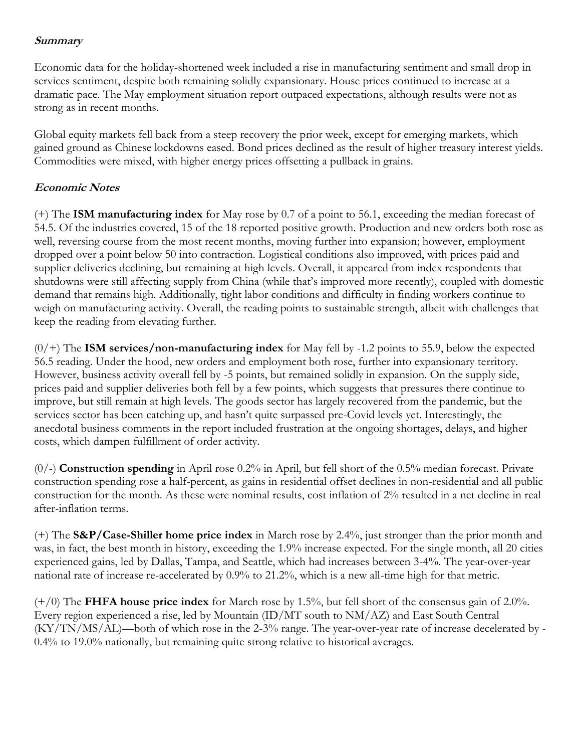## **Summary**

Economic data for the holiday-shortened week included a rise in manufacturing sentiment and small drop in services sentiment, despite both remaining solidly expansionary. House prices continued to increase at a dramatic pace. The May employment situation report outpaced expectations, although results were not as strong as in recent months.

Global equity markets fell back from a steep recovery the prior week, except for emerging markets, which gained ground as Chinese lockdowns eased. Bond prices declined as the result of higher treasury interest yields. Commodities were mixed, with higher energy prices offsetting a pullback in grains.

## **Economic Notes**

(+) The **ISM manufacturing index** for May rose by 0.7 of a point to 56.1, exceeding the median forecast of 54.5. Of the industries covered, 15 of the 18 reported positive growth. Production and new orders both rose as well, reversing course from the most recent months, moving further into expansion; however, employment dropped over a point below 50 into contraction. Logistical conditions also improved, with prices paid and supplier deliveries declining, but remaining at high levels. Overall, it appeared from index respondents that shutdowns were still affecting supply from China (while that's improved more recently), coupled with domestic demand that remains high. Additionally, tight labor conditions and difficulty in finding workers continue to weigh on manufacturing activity. Overall, the reading points to sustainable strength, albeit with challenges that keep the reading from elevating further.

(0/+) The **ISM services/non-manufacturing index** for May fell by -1.2 points to 55.9, below the expected 56.5 reading. Under the hood, new orders and employment both rose, further into expansionary territory. However, business activity overall fell by -5 points, but remained solidly in expansion. On the supply side, prices paid and supplier deliveries both fell by a few points, which suggests that pressures there continue to improve, but still remain at high levels. The goods sector has largely recovered from the pandemic, but the services sector has been catching up, and hasn't quite surpassed pre-Covid levels yet. Interestingly, the anecdotal business comments in the report included frustration at the ongoing shortages, delays, and higher costs, which dampen fulfillment of order activity.

(0/-) **Construction spending** in April rose 0.2% in April, but fell short of the 0.5% median forecast. Private construction spending rose a half-percent, as gains in residential offset declines in non-residential and all public construction for the month. As these were nominal results, cost inflation of 2% resulted in a net decline in real after-inflation terms.

(+) The **S&P/Case-Shiller home price index** in March rose by 2.4%, just stronger than the prior month and was, in fact, the best month in history, exceeding the 1.9% increase expected. For the single month, all 20 cities experienced gains, led by Dallas, Tampa, and Seattle, which had increases between 3-4%. The year-over-year national rate of increase re-accelerated by 0.9% to 21.2%, which is a new all-time high for that metric.

(+/0) The **FHFA house price index** for March rose by 1.5%, but fell short of the consensus gain of 2.0%. Every region experienced a rise, led by Mountain (ID/MT south to NM/AZ) and East South Central (KY/TN/MS/AL)—both of which rose in the 2-3% range. The year-over-year rate of increase decelerated by - 0.4% to 19.0% nationally, but remaining quite strong relative to historical averages.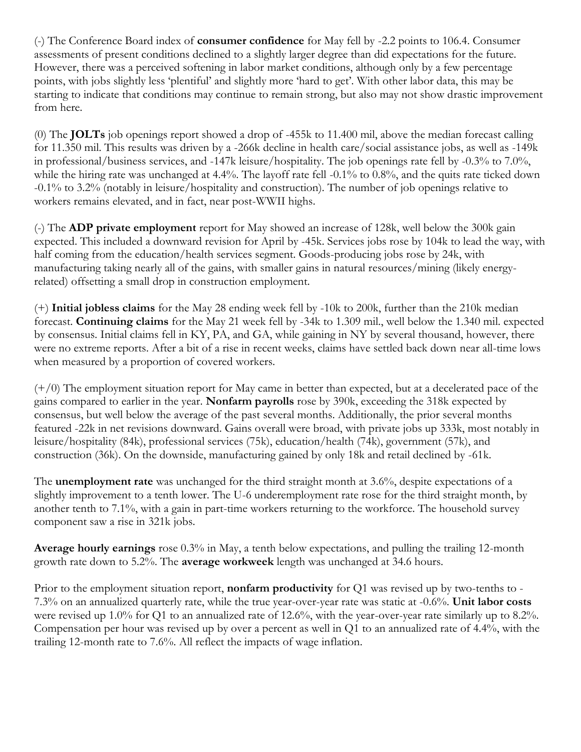(-) The Conference Board index of **consumer confidence** for May fell by -2.2 points to 106.4. Consumer assessments of present conditions declined to a slightly larger degree than did expectations for the future. However, there was a perceived softening in labor market conditions, although only by a few percentage points, with jobs slightly less 'plentiful' and slightly more 'hard to get'. With other labor data, this may be starting to indicate that conditions may continue to remain strong, but also may not show drastic improvement from here.

(0) The **JOLTs** job openings report showed a drop of -455k to 11.400 mil, above the median forecast calling for 11.350 mil. This results was driven by a -266k decline in health care/social assistance jobs, as well as -149k in professional/business services, and -147k leisure/hospitality. The job openings rate fell by -0.3% to 7.0%, while the hiring rate was unchanged at 4.4%. The layoff rate fell -0.1% to 0.8%, and the quits rate ticked down -0.1% to 3.2% (notably in leisure/hospitality and construction). The number of job openings relative to workers remains elevated, and in fact, near post-WWII highs.

(-) The **ADP private employment** report for May showed an increase of 128k, well below the 300k gain expected. This included a downward revision for April by -45k. Services jobs rose by 104k to lead the way, with half coming from the education/health services segment. Goods-producing jobs rose by 24k, with manufacturing taking nearly all of the gains, with smaller gains in natural resources/mining (likely energyrelated) offsetting a small drop in construction employment.

(+) **Initial jobless claims** for the May 28 ending week fell by -10k to 200k, further than the 210k median forecast. **Continuing claims** for the May 21 week fell by -34k to 1.309 mil., well below the 1.340 mil. expected by consensus. Initial claims fell in KY, PA, and GA, while gaining in NY by several thousand, however, there were no extreme reports. After a bit of a rise in recent weeks, claims have settled back down near all-time lows when measured by a proportion of covered workers.

 $(+/0)$  The employment situation report for May came in better than expected, but at a decelerated pace of the gains compared to earlier in the year. **Nonfarm payrolls** rose by 390k, exceeding the 318k expected by consensus, but well below the average of the past several months. Additionally, the prior several months featured -22k in net revisions downward. Gains overall were broad, with private jobs up 333k, most notably in leisure/hospitality (84k), professional services (75k), education/health (74k), government (57k), and construction (36k). On the downside, manufacturing gained by only 18k and retail declined by -61k.

The **unemployment rate** was unchanged for the third straight month at 3.6%, despite expectations of a slightly improvement to a tenth lower. The U-6 underemployment rate rose for the third straight month, by another tenth to 7.1%, with a gain in part-time workers returning to the workforce. The household survey component saw a rise in 321k jobs.

**Average hourly earnings** rose 0.3% in May, a tenth below expectations, and pulling the trailing 12-month growth rate down to 5.2%. The **average workweek** length was unchanged at 34.6 hours.

Prior to the employment situation report, **nonfarm productivity** for Q1 was revised up by two-tenths to - 7.3% on an annualized quarterly rate, while the true year-over-year rate was static at -0.6%. **Unit labor costs** were revised up 1.0% for Q1 to an annualized rate of 12.6%, with the year-over-year rate similarly up to 8.2%. Compensation per hour was revised up by over a percent as well in Q1 to an annualized rate of 4.4%, with the trailing 12-month rate to 7.6%. All reflect the impacts of wage inflation.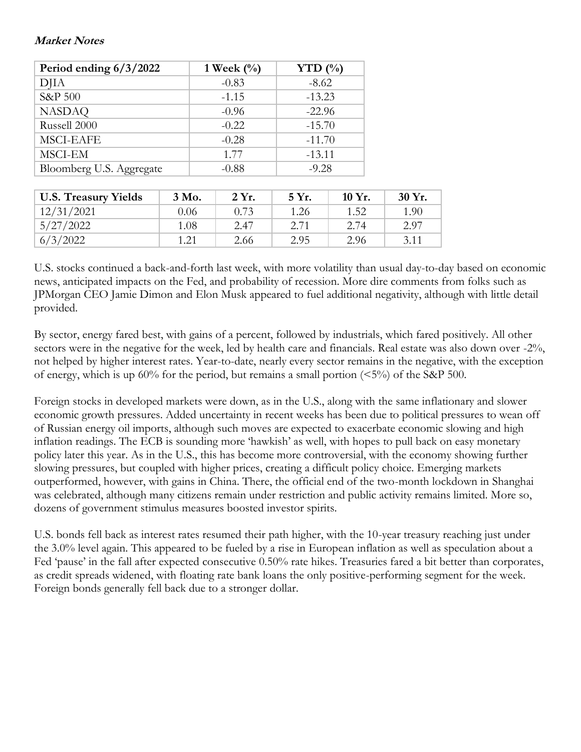## **Market Notes**

| Period ending $6/3/2022$ | 1 Week $(\%)$ | YTD $(\% )$ |  |
|--------------------------|---------------|-------------|--|
| <b>DJIA</b>              | $-0.83$       | $-8.62$     |  |
| S&P 500                  | $-1.15$       | $-13.23$    |  |
| <b>NASDAQ</b>            | $-0.96$       | $-22.96$    |  |
| Russell 2000             | $-0.22$       | $-15.70$    |  |
| <b>MSCI-EAFE</b>         | $-0.28$       | $-11.70$    |  |
| MSCI-EM                  | 1.77          | $-13.11$    |  |
| Bloomberg U.S. Aggregate | $-0.88$       | $-9.28$     |  |

| <b>U.S. Treasury Yields</b> | 3 Mo. | 2 Yr. | 5 Yr. | $10 Yr$ . | 30 Yr. |
|-----------------------------|-------|-------|-------|-----------|--------|
| 12/31/2021                  | 0.06  | 0.73  | 1.26  | 1.52      | 1.90   |
| 5/27/2022                   | 1.08  | 2.47  | 2.71  | 2.74      | 2.97   |
| 6/3/2022                    | 1.21  | 2.66  | 2.95  | 2.96      | 3.11   |

U.S. stocks continued a back-and-forth last week, with more volatility than usual day-to-day based on economic news, anticipated impacts on the Fed, and probability of recession. More dire comments from folks such as JPMorgan CEO Jamie Dimon and Elon Musk appeared to fuel additional negativity, although with little detail provided.

By sector, energy fared best, with gains of a percent, followed by industrials, which fared positively. All other sectors were in the negative for the week, led by health care and financials. Real estate was also down over -2%, not helped by higher interest rates. Year-to-date, nearly every sector remains in the negative, with the exception of energy, which is up  $60\%$  for the period, but remains a small portion ( $\leq 5\%$ ) of the S&P 500.

Foreign stocks in developed markets were down, as in the U.S., along with the same inflationary and slower economic growth pressures. Added uncertainty in recent weeks has been due to political pressures to wean off of Russian energy oil imports, although such moves are expected to exacerbate economic slowing and high inflation readings. The ECB is sounding more 'hawkish' as well, with hopes to pull back on easy monetary policy later this year. As in the U.S., this has become more controversial, with the economy showing further slowing pressures, but coupled with higher prices, creating a difficult policy choice. Emerging markets outperformed, however, with gains in China. There, the official end of the two-month lockdown in Shanghai was celebrated, although many citizens remain under restriction and public activity remains limited. More so, dozens of government stimulus measures boosted investor spirits.

U.S. bonds fell back as interest rates resumed their path higher, with the 10-year treasury reaching just under the 3.0% level again. This appeared to be fueled by a rise in European inflation as well as speculation about a Fed 'pause' in the fall after expected consecutive 0.50% rate hikes. Treasuries fared a bit better than corporates, as credit spreads widened, with floating rate bank loans the only positive-performing segment for the week. Foreign bonds generally fell back due to a stronger dollar.